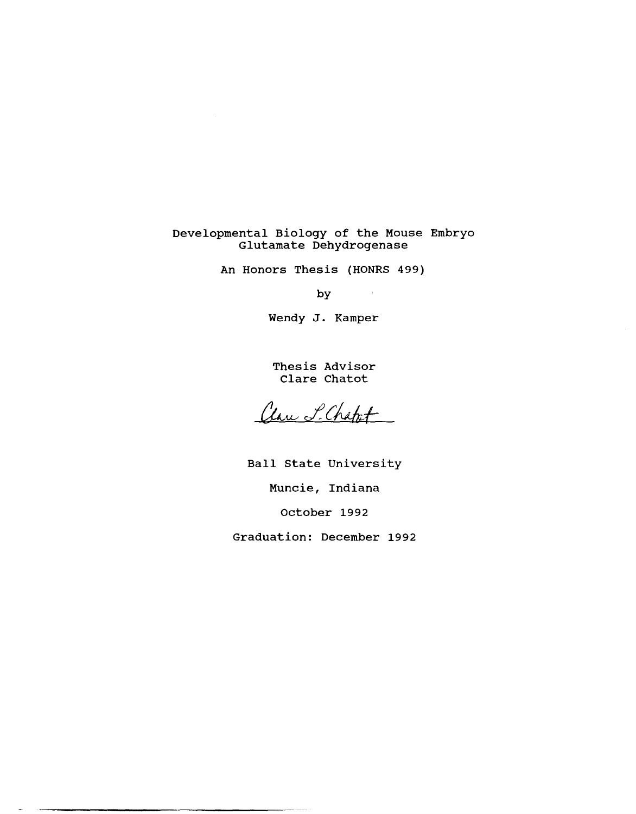# Developmental Biology of the Mouse Embryo Glutamate Dehydrogenase

An Honors Thesis (HONRS 499)

by

 $\hat{\mathcal{L}}_{\text{max}}$  and  $\hat{\mathcal{L}}_{\text{max}}$ 

Wendy J. Kamper

Thesis Advisor Clare Chatot

Clare L. Chapet

Ball state University Muncie, Indiana october 1992 Graduation: December 1992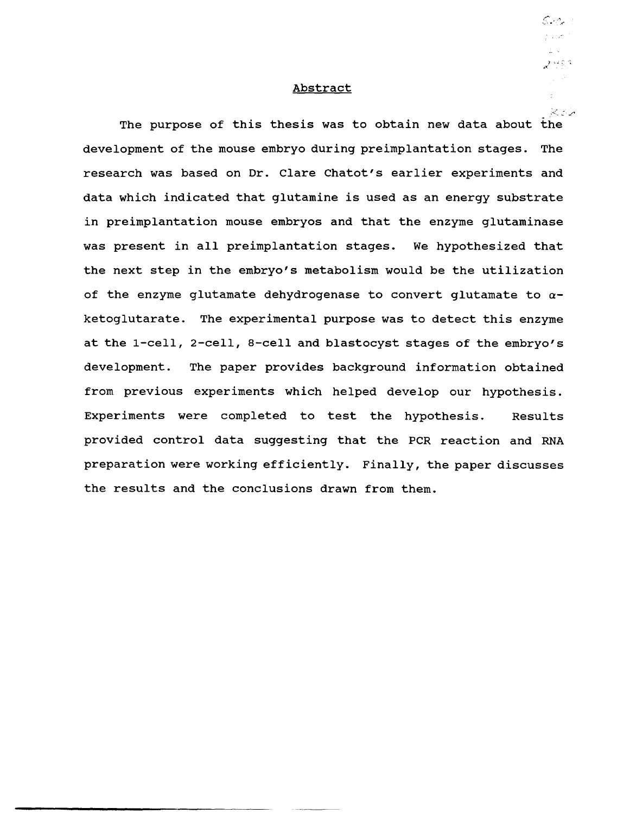#### Abstract

 $\mathcal{S}$  and  $\mathcal{S}$ 

 $\frac{f}{2\kappa}=\kappa$ 2 मध्य

The purpose of this thesis was to obtain new data about the development of the mouse embryo during preimplantation stages. The research was based on Dr. Clare Chatot's earlier experiments and data which indicated that glutamine is used as an energy substrate in preimplantation mouse embryos and that the enzyme glutaminase was present in all preimplantation stages. We hypothesized that the next step in the embryo's metabolism would be the utilization of the enzyme glutamate dehydrogenase to convert glutamate to *a*ketoglutarate. The experimental purpose was to detect this enzyme at the I-cell, 2-cell, a-cell and blastocyst stages of the embryo's development. The paper provides background information obtained from previous experiments which helped develop our hypothesis. Experiments were completed to test the hypothesis. Results provided control data suggesting that the PCR reaction and RNA preparation were working efficiently. Finally, the paper discusses the results and the conclusions drawn from them.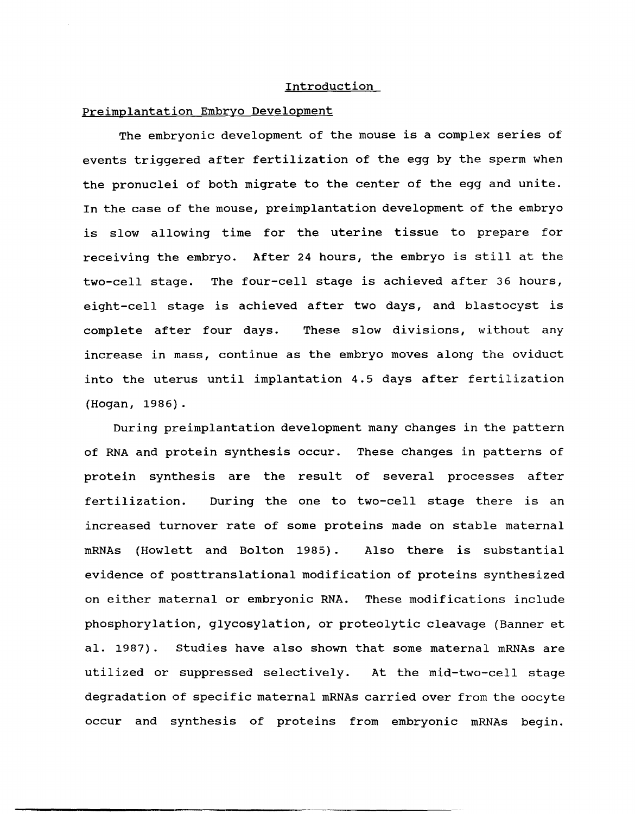### Introduction

#### Preimplantation Embryo Development

The embryonic development of the mouse is a complex series of events triggered after fertilization of the egg by the sperm when the pronuclei of both migrate to the center of the egg and unite. In the case of the mouse, preimplantation development of the embryo is slow allowing time for the uterine tissue to prepare for receiving the embryo. After 24 hours, the embryo is still at the two-cell stage. The four-cell stage is achieved after 36 hours, eight-cell stage is achieved after two days, and blastocyst is complete after four days. These slow divisions, without any increase in mass, continue as the embryo moves along the oviduct into the uterus until implantation 4.5 days after fertilization (Hogan, 1986).

During preimplantation development many changes in the pattern of RNA and protein synthesis occur. These changes in patterns of protein synthesis are the result of several processes after fertilization. During the one to two-cell stage there is an increased turnover rate of some proteins made on stable maternal mRNAs (Howlett and Bolton 1985). Also there is substantial evidence of posttranslational modification of proteins synthesized on either maternal or embryonic RNA. These modifications include phosphorylation, glycosylation, or proteolytic cleavage (Banner et al. 1987). studies have also shown that some maternal mRNAs are utilized or suppressed selectively. At the mid-two-cell stage degradation of specific maternal mRNAs carried over from the oocyte occur and synthesis of proteins from embryonic mRNAs begin.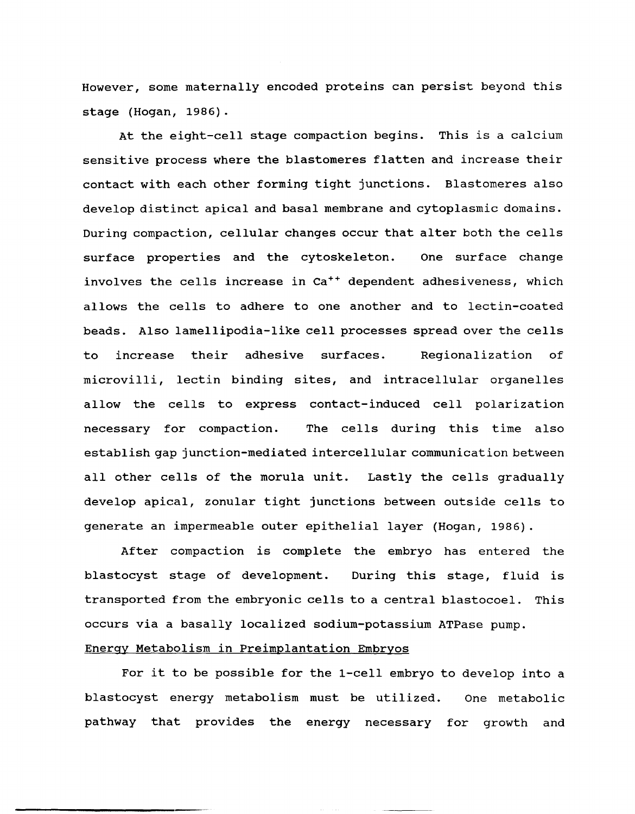However, some maternally encoded proteins can persist beyond this stage (Hogan, 1986).

At the eight-cell stage compaction begins. This is a calcium sensitive process where the blastomeres flatten and increase their contact with each other forming tight junctions. Blastomeres also develop distinct apical and basal membrane and cytoplasmic domains. During compaction, cellular changes occur that alter both the cells surface properties and the cytoskeleton. One surface change involves the cells increase in Ca<sup>++</sup> dependent adhesiveness, which allows the cells to adhere to one another and to lectin-coated beads. Also lamellipodia-like cell processes spread over the cells to increase their adhesive surfaces. Regionalization of microvilli, lectin binding sites, and intracellular organelles allow the cells to express contact-induced cell polarization necessary for compaction. The cells during this time also establish gap junction-mediated intercellular communication between all other cells of the morula unit. Lastly the cells gradually develop apical, zonular tight junctions between outside cells to generate an impermeable outer epithelial layer (Hogan, 1986).

After compaction is complete the embryo has entered the blastocyst stage of development. During this stage, fluid is transported from the embryonic cells to a central blastocoel. This occurs via a basally localized sodium-potassium ATPase pump. Energy Metabolism in Preimplantation Embryos

For it to be possible for the 1-cell embryo to develop into a blastocyst energy metabolism must be utilized. One metabolic pathway that provides the energy necessary for growth and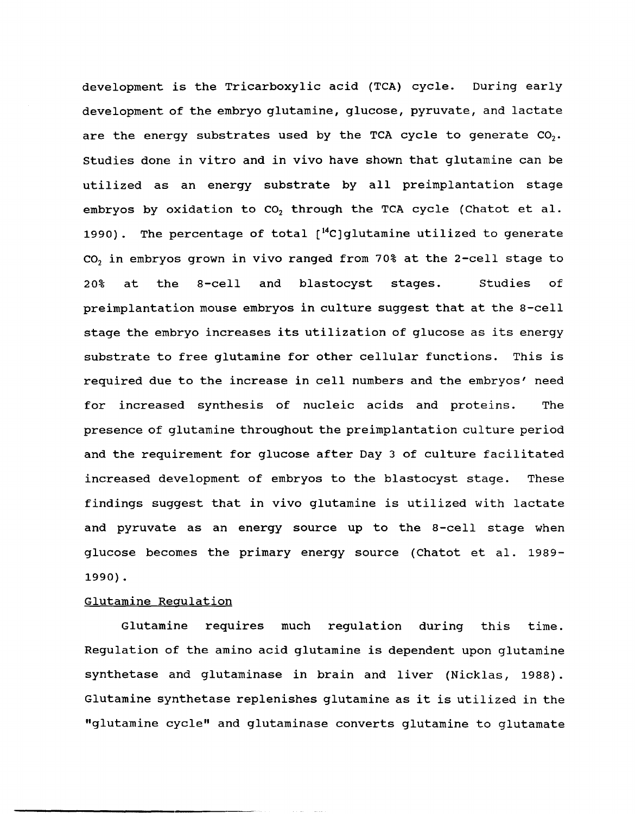development is the Tricarboxylic acid (TCA) cycle. During early development of the embryo glutamine, glucose, pyruvate, and lactate are the energy substrates used by the TCA cycle to generate  $CO<sub>2</sub>$ . Studies done in vitro and in vivo have shown that glutamine can be utilized as an energy substrate by all preimplantation stage embryos by oxidation to  $CO<sub>2</sub>$  through the TCA cycle (Chatot et al. 1990). The percentage of total  $[$ <sup>14</sup>C]glutamine utilized to generate CO<sub>2</sub> in embryos grown in vivo ranged from 70% at the 2-cell stage to 20% at the 8-cell and blastocyst stages. Studies of preimplantation mouse embryos in culture suggest that at the 8-cell stage the embryo increases its utilization of glucose as its energy substrate to free glutamine for other cellular functions. This is required due to the increase in cell numbers and the embryos' need for increased synthesis of nucleic acids and proteins. The presence of glutamine throughout the preimplantation culture period and the requirement for glucose after Day 3 of culture facilitated increased development of embryos to the blastocyst stage. These findings suggest that in vivo glutamine is utilized with lactate and pyruvate as an energy source up to the 8-cell stage when glucose becomes the primary energy source (Chatot et al. 1989-1990) .

#### Glutamine Regulation

Glutamine requires much regulation during this time. Regulation of the amino acid glutamine is dependent upon glutamine synthetase and glutaminase in brain and liver (Nicklas, 1988). Glutamine synthetase replenishes glutamine as it is utilized in the "glutamine cycle" and glutaminase converts glutamine to glutamate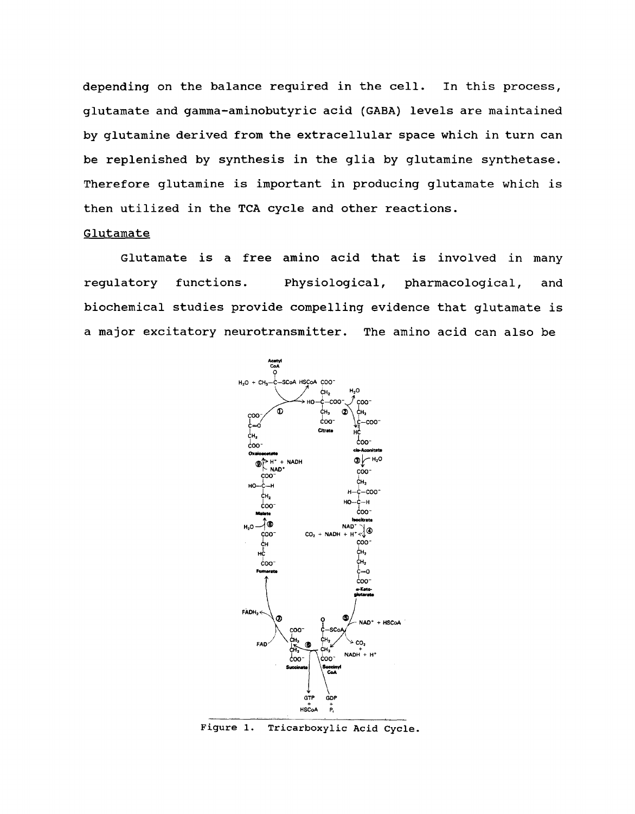depending on the balance required in the cell. In this process, glutamate and gamma-aminobutyric acid (GABA) levels are maintained by glutamine derived from the extracellular space which in turn can be replenished by synthesis in the glia by glutamine synthetase. Therefore glutamine is important in producing glutamate which is then utilized in the TCA cycle and other reactions.

## Glutamate

Glutamate is a free amino acid that is involved in many regulatory functions. Physiological, pharmacological, and biochemical studies provide compelling evidence that glutamate is a major excitatory neurotransmitter. The amino acid can also be



Figure 1. Tricarboxylic Acid Cycle.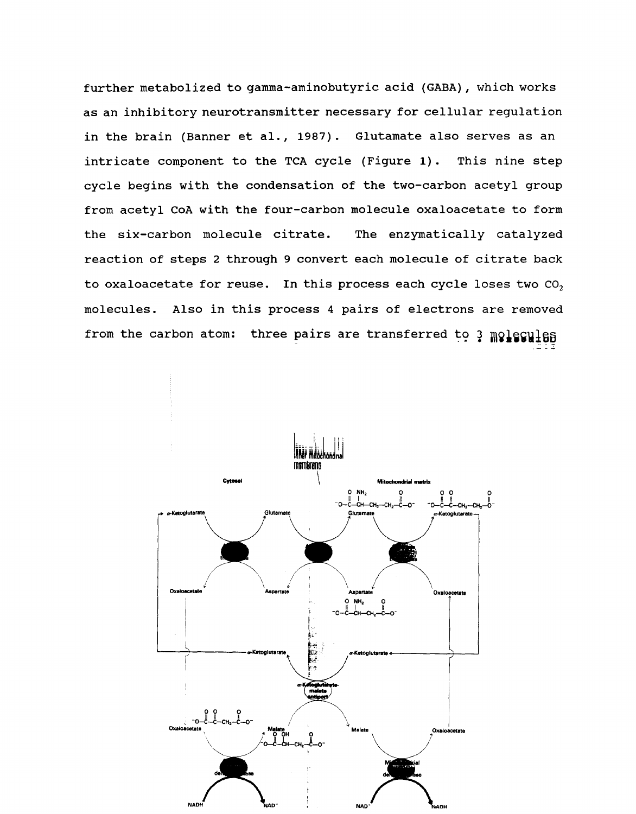further metabolized to gamma-aminobutyric acid (GABA), which works as an inhibitory neurotransmitter necessary for cellular regulation in the brain (Banner et al., 1987). Glutamate also serves as an intricate component to the TCA cycle (Figure 1). This nine step cycle begins with the condensation of the two-carbon acetyl group from acetyl CoA with the four-carbon molecule oxaloacetate to form the six-carbon molecule citrate. The enzymatically catalyzed reaction of steps 2 through 9 convert each molecule of citrate back to oxaloacetate for reuse. In this process each cycle loses two  $CO<sub>2</sub>$ molecules. Also in this process 4 pairs of electrons are removed from the carbon atom: three pairs are transferred to  $\frac{1}{2}$  molecules

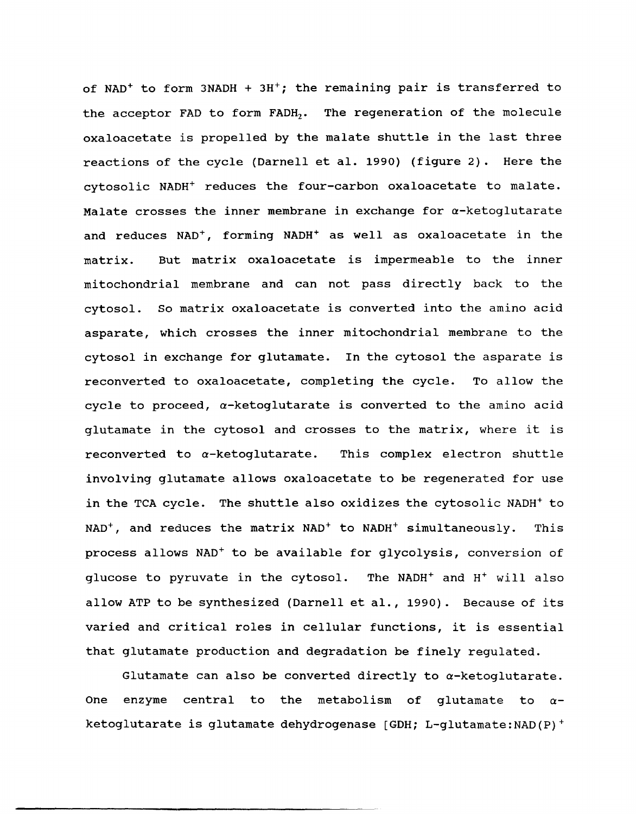of NAD<sup>+</sup> to form 3NADH +  $3H^+$ ; the remaining pair is transferred to the acceptor FAD to form FADH<sub>2</sub>. The regeneration of the molecule oxaloacetate is propelled by the malate shuttle in the last three reactions of the cycle (Darnell et al. 1990) (figure 2). Here the cytosolic NADH+ reduces the four-carbon oxaloacetate to malate. Malate crosses the inner membrane in exchange for  $\alpha$ -ketoglutarate and reduces NAD<sup>+</sup>, forming NADH<sup>+</sup> as well as oxaloacetate in the matrix. But matrix oxaloacetate is impermeable to the inner mitochondrial membrane and can not pass directly back to the cytosol. So matrix oxaloacetate is converted into the amino acid asparate, which crosses the inner mitochondrial membrane to the cytosol in exchange for glutamate. In the cytosol the asparate is reconverted to oxaloacetate, completing the cycle. To allow the cycle to proceed,  $\alpha$ -ketoglutarate is converted to the amino acid glutamate in the cytosol and crosses to the matrix, where it is reconverted to  $\alpha$ -ketoglutarate. This complex electron shuttle involving glutamate allows oxaloacetate to be regenerated for use in the TCA cycle. The shuttle also oxidizes the cytosolic NADH<sup>+</sup> to  $NAD^{+}$ , and reduces the matrix  $NAD^{+}$  to  $NADH^{+}$  simultaneously. This process allows NAD+ to be available for glycolysis, conversion of glucose to pyruvate in the cytosol. The NADH+ and H+ will also allow ATP to be synthesized (Darnell et al., 1990). Because of its varied and critical roles in cellular functions, it is essential that glutamate production and degradation be finely regulated.

Glutamate can also be converted directly to  $\alpha$ -ketoglutarate. One enzyme central to the metabolism of glutamate to  $\alpha$ ketoglutarate is glutamate dehydrogenase [GDH; L-glutamate:NAD(P)+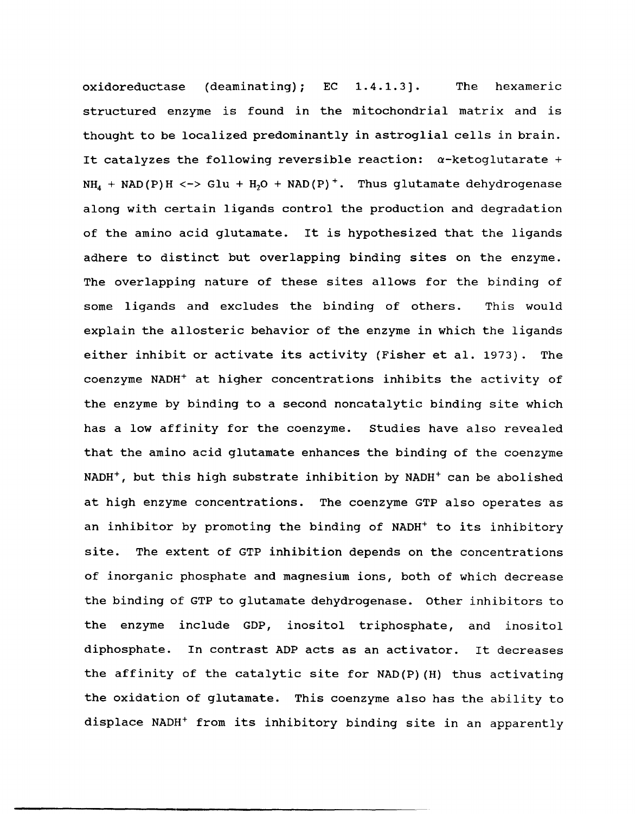oxidoreductase (deaminating);  $EC$  1.4.1.3]. The hexameric structured enzyme is found in the mitochondrial matrix and is thought to be localized predominantly in astroglial cells in brain. It catalyzes the following reversible reaction:  $\alpha$ -ketoglutarate +  $NH_4$  + NAD(P)H <-> Glu + H<sub>2</sub>O + NAD(P)<sup>+</sup>. Thus glutamate dehydrogenase along with certain ligands control the production and degradation of the amino acid glutamate. It is hypothesized that the ligands adhere to distinct but overlapping binding sites on the enzyme. The overlapping nature of these sites allows for the binding of some ligands and excludes the binding of others. This would explain the allosteric behavior of the enzyme in which the ligands either inhibit or activate its activity (Fisher et al. 1973). The coenzyme NADH+ at higher concentrations inhibits the activity of the enzyme by binding to a second noncatalytic binding site which has a low affinity for the coenzyme. Studies have also revealed that the amino acid glutamate enhances the binding of the coenzyme NADH<sup>+</sup>, but this high substrate inhibition by NADH<sup>+</sup> can be abolished at high enzyme concentrations. The coenzyme GTP also operates as an inhibitor by promoting the binding of NADH<sup>+</sup> to its inhibitory site. The extent of GTP inhibition depends on the concentrations of inorganic phosphate and magnesium ions, both of which decrease the binding of GTP to glutamate dehydrogenase. other inhibitors to the enzyme include GDP, inositol triphosphate, and inositol diphosphate. In contrast ADP acts as an activator. It decreases the affinity of the catalytic site for NAD(P) (H) thus activating the oxidation of glutamate. This coenzyme also has the ability to displace NADH+ from its inhibitory binding site in an apparently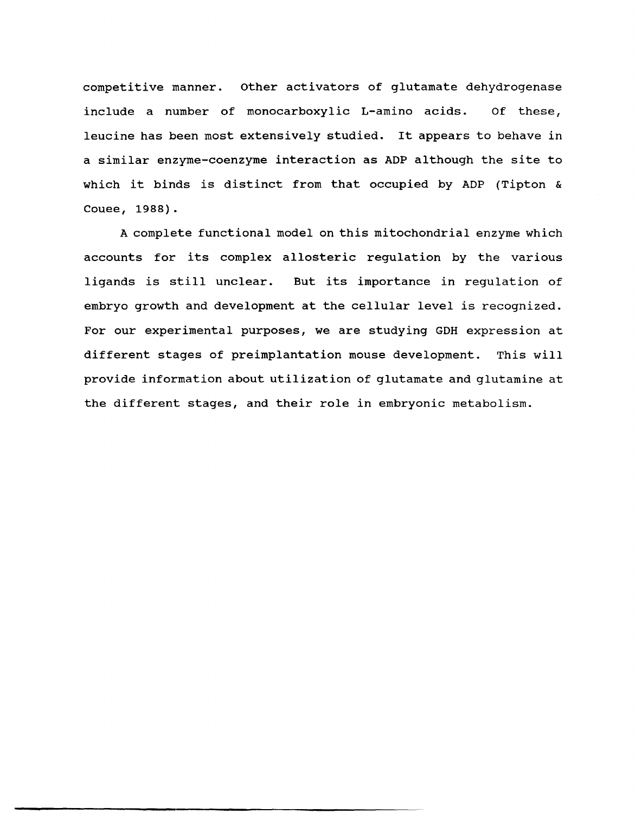competitive manner. other activators of glutamate dehydrogenase include a number of monocarboxylic L-amino acids. Of these, leucine has been most extensively studied. It appears to behave in a similar enzyme-coenzyme interaction as ADP although the site to which it binds is distinct from that occupied by ADP (Tipton & Couee, 1988).

A complete functional model on this mitochondrial enzyme which accounts for its complex allosteric regulation by the various ligands is still unclear. But its importance in regulation of embryo growth and development at the cellular level is recognized. For our experimental purposes, we are studying GDH expression at different stages of preimplantation mouse development. This will provide information about utilization of glutamate and glutamine at the different stages, and their role in embryonic metabolism.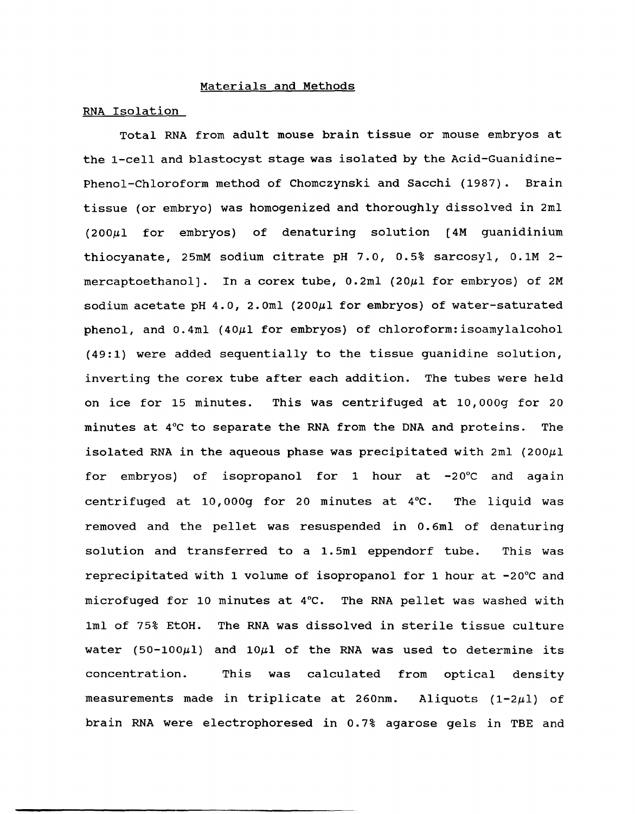#### Materials and Methods

#### RNA Isolation

Total RNA from adult mouse brain tissue or mouse embryos at the 1-cell and blastocyst stage was isolated by the Acid-Guanidine-Phenol-Chloroform method of Chomczynski and Sacchi (1987). Brain tissue (or embryo) was homogenized and thoroughly dissolved in 2ml  $(200\mu 1$  for embryos) of denaturing solution [4M guanidinium thiocyanate, 25mM sodium citrate pH 7.0, 0.5% sarcosyl, O.lM 2 mercaptoethanol]. In a corex tube,  $0.2$ ml (20 $\mu$ l for embryos) of 2M sodium acetate pH  $4.0$ ,  $2.0$ ml (200 $\mu$ l for embryos) of water-saturated phenol, and  $0.4ml$  (40 $\mu$ 1 for embryos) of chloroform: isoamylalcohol (49:1) were added sequentially to the tissue guanidine solution, inverting the corex tube after each addition. The tubes were held on ice for 15 minutes. This was centrifuged at 10,000g for 20 minutes at 4°C to separate the RNA from the DNA and proteins. The isolated RNA in the aqueous phase was precipitated with 2ml (200 $\mu$ 1 for embryos) of isopropanol for 1 hour at -20°C and again centrifuged at 10,000g for 20 minutes at  $4^{\circ}$ C. The liquid was removed and the pellet was resuspended in O. 6ml of denaturing solution and transferred to a 1.5ml eppendorf tube. This was reprecipitated with 1 volume of isopropanol for 1 hour at -20°C and microfuged for 10 minutes at 4°C. The RNA pellet was washed with 1ml of 75% EtOH. The RNA was dissolved in sterile tissue culture water (50-100 $\mu$ 1) and 10 $\mu$ 1 of the RNA was used to determine its concentration. This was calculated from optical density measurements made in triplicate at 260nm. Aliquots  $(1-2\mu l)$  of brain RNA were electrophoresed in 0.7% agarose gels in TBE and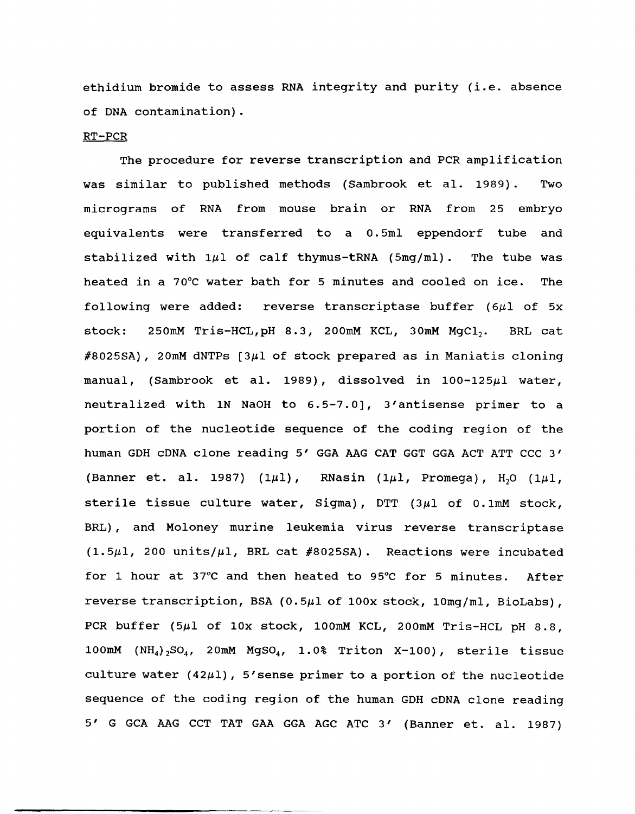ethidium bromide to assess RNA integrity and purity {i.e. absence of DNA contamination}.

#### RT-PCR

The procedure for reverse transcription and PCR amplification was similar to published methods {Sambrook et al. 1989}. Two micrograms of RNA from mouse brain or RNA from 25 embryo equivalents were transferred to a 0.5ml eppendorf tube and stabilized with  $1\mu$ l of calf thymus-tRNA (5mg/ml). The tube was heated in a 70°C water bath for 5 minutes and cooled on ice. The following were added: reverse transcriptase buffer ( $6\mu$ l of 5x stock: 250mM Tris-HCL,  $pH$  8.3, 200mM KCL, 30mM MgCl<sub>2</sub>. BRL cat  $\#8025SA$ ), 20mM dNTPs [3 $\mu$ 1 of stock prepared as in Maniatis cloning manual, (Sambrook et al. 1989), dissolved in  $100-125\mu$ l water, neutralized with 1N NaOH to 6.5-7.0], 3'antisense primer to a portion of the nucleotide sequence of the coding region of the human GDH cDNA clone reading 5' GGA AAG CAT GGT GGA ACT ATT CCC 3' (Banner et. al. 1987) (1 $\mu$ 1), RNasin (1 $\mu$ 1, Promega), H<sub>2</sub>O (1 $\mu$ 1, sterile tissue culture water, Sigma), DTT  $(3 $\mu$ 1 of 0.1 $\text{mM}$  stock,$ BRL) , and Moloney murine leukemia virus reverse transcriptase  $(1.5\mu l, 200 \text{ units}/\mu l, \text{BRL} \text{cat \#8025SA}).$  Reactions were incubated for 1 hour at 37°C and then heated to 95°C for 5 minutes. After reverse transcription, BSA (0.5 $\mu$ 1 of 100x stock, 10mg/ml, BioLabs), PCR buffer  $(5\mu 1$  of  $10x$  stock, 100mM KCL, 200mM Tris-HCL pH 8.8, 100mM  $(NH_4)$ <sub>2</sub>SO<sub>4</sub>, 20mM MgSO<sub>4</sub>, 1.0% Triton X-100), sterile tissue culture water  $(42\mu l)$ , 5'sense primer to a portion of the nucleotide sequence of the coding region of the human GDH cDNA clone reading 5' G GCA AAG CCT TAT GAA GGA AGC ATC 3' (Banner et. al. 1987)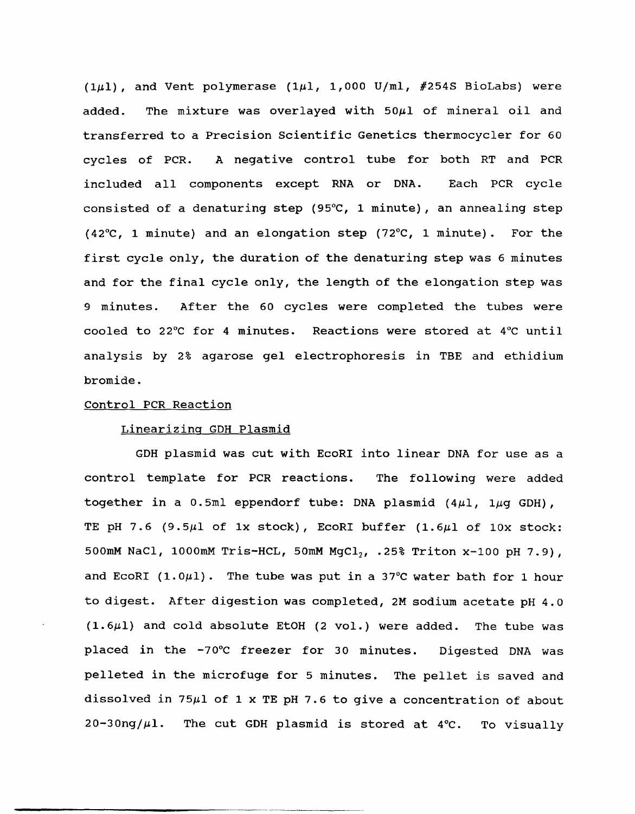(1 $\mu$ 1), and Vent polymerase (1 $\mu$ 1, 1,000 U/ml, #254S BioLabs) were added. The mixture was overlayed with  $50~\mu$ l of mineral oil and transferred to a Precision Scientific Genetics thermocycler for 60 cycles of PCR. A negative control tube for both RT and PCR included all components except RNA or DNA. Each PCR cycle consisted of a denaturing step (95°C, 1 minute), an annealing step (42°C, 1 minute) and an elongation step (72°C, 1 minute). For the first cycle only, the duration of the denaturing step was 6 minutes and for the final cycle only, the length of the elongation step was 9 minutes. After the 60 cycles were completed the tubes were cooled to 22°C for 4 minutes. Reactions were stored at 4°C until analysis by 2% agarose gel electrophoresis in TBE and ethidium bromide.

#### Control PCR Reaction

-------------------------------------

### Linearizing GDH Plasmid

GDH plasmid was cut with EcoRI into linear DNA for use as a control template for PCR reactions. The following were added together in a 0.5ml eppendorf tube: DNA plasmid  $(4\mu l, 1\mu q$  GDH), TE pH 7.6 (9.5 $\mu$ 1 of 1x stock), EcoRI buffer (1.6 $\mu$ 1 of 10x stock: 500mM NaCl, 1000mM Tris-HCL, 50mM MgCl<sub>2</sub>, .25% Triton x-100 pH 7.9), and EcoRI (1.0 $\mu$ 1). The tube was put in a 37°C water bath for 1 hour to digest. After digestion was completed, 2M sodium acetate pH 4.0  $(1.6~\mu$ 1) and cold absolute EtOH (2 vol.) were added. The tube was placed in the -70°C freezer for 30 minutes. Digested DNA was pelleted in the microfuge for 5 minutes. The pellet is saved and dissolved in 75 $\mu$ 1 of 1 x TE pH 7.6 to give a concentration of about  $20-30$ ng/ $\mu$ 1. The cut GDH plasmid is stored at 4°C. To visually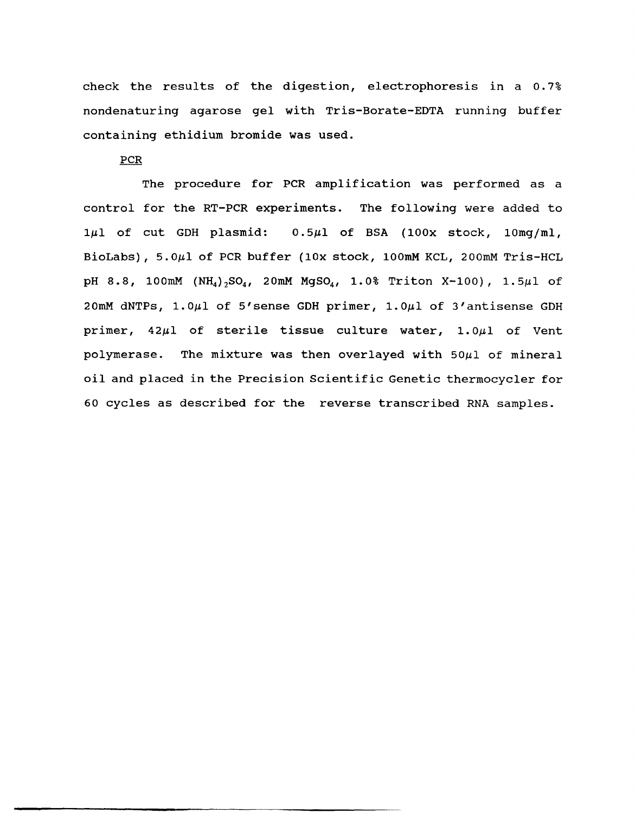check the results of the digestion, electrophoresis in a 0.7% nondenaturing agarose gel with Tris-Borate-EDTA running buffer containing ethidium bromide was used.

## PCR

The procedure for PCR amplification was performed as a control for the RT-PCR experiments. The following were added to 1µ1 of cut GDH plasmid:  $0.5\mu$ 1 of BSA (100x stock, 10mg/ml, BioLabs), 5.0µ1 of PCR buffer (10x stock, 100mM KCL, 200mM Tris-HCL pH 8.8, 100mM  $(NH_4)_{2}SO_4$ , 20mM MgSO<sub>4</sub>, 1.0% Triton X-100), 1.5 $\mu$ l of 20mM dNTPs, 1.0µ1 of 5'sense GDH primer, 1.0µ1 of 3'antisense GDH primer, 42µ1 of sterile tissue culture water, 1.0µ1 of Vent polymerase. The mixture was then overlayed with  $50\mu$ l of mineral oil and placed in the Precision Scientific Genetic thermocycler for 60 cycles as described for the reverse transcribed RNA samples.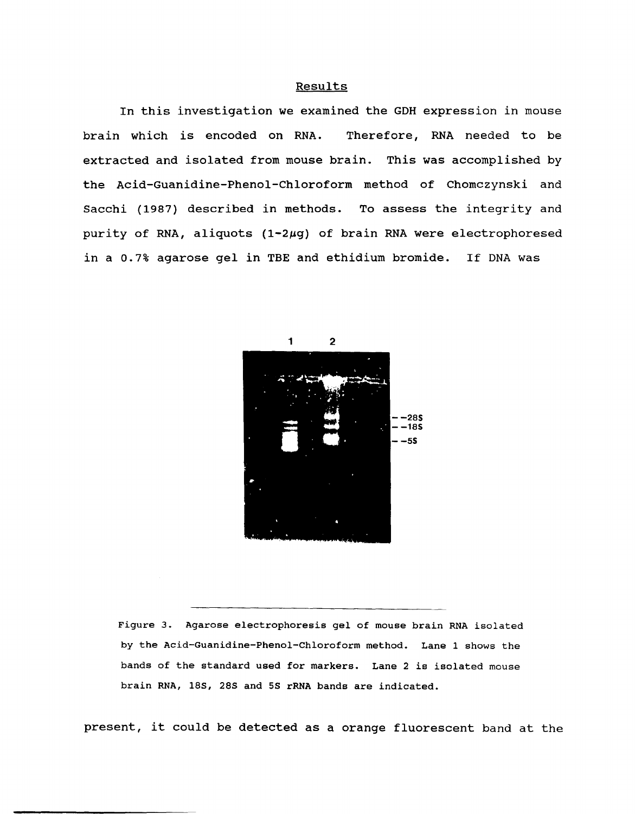#### Results

In this investigation we examined the GDH expression in mouse brain which is encoded on RNA. Therefore, RNA needed to be extracted and isolated from mouse brain. This was accomplished by the Acid-Guanidine-Phenol-Chloroform method of Chomczynski and Sacchi (1987) described in methods. To assess the integrity and purity of RNA, aliquots  $(1-2\mu q)$  of brain RNA were electrophoresed in a 0.7% agarose gel in TBE and ethidium bromide. If DNA was



Figure 3. Agarose electrophoresis gel of mouse brain RNA isolated by the Acid-Guanidine-Phenol-Chloroform method. Lane 1 shows the bands of the standard used for markers. Lane 2 is isolated mouse brain RNA, 18S, 28S and 5S rRNA bands are indicated.

present, it could be detected as a orange fluorescent band at the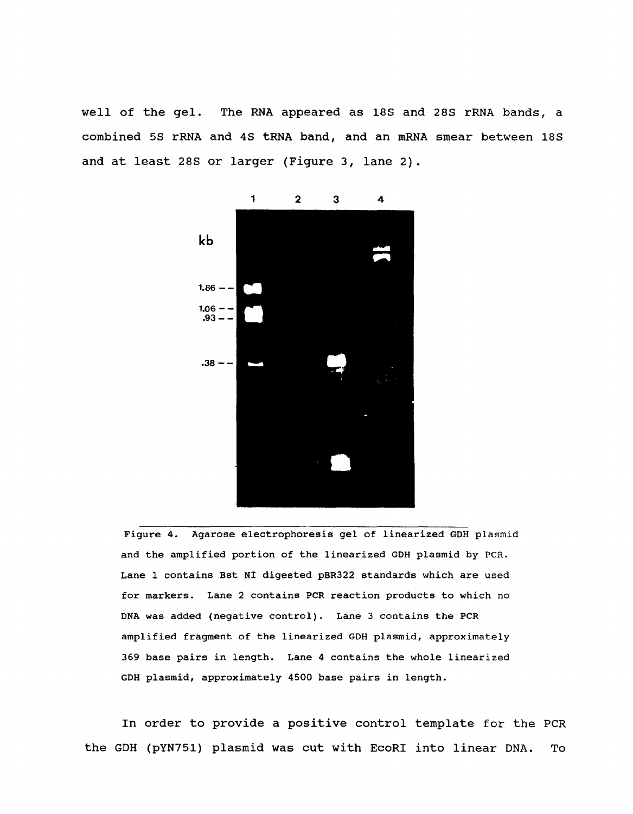well of the gel. The RNA appeared as 18S and 28S rRNA bands, a combined 5S rRNA and 4S tRNA band, and an mRNA smear between 18S and at least 28S or larger (Figure 3, lane 2).



Figure 4. Agarose electrophoresis gel of linearized GOH plasmid and the amplified portion of the linearized GDH plasmid by PCR. Lane 1 contains Bst NI digested pBR322 standards which are used for markers. Lane 2 contains PCR reaction products to which no DNA was added (negative control). Lane 3 contains the PCR amplified fragment of the linearized GDH plasmid, approximately 369 base pairs in length. Lane 4 contains the whole linearized GOH plasmid, approximately 4500 base pairs in length.

In order to provide a positive control template for the PCR the GDH (pYN751) plasmid was cut with EcoRI into linear DNA. To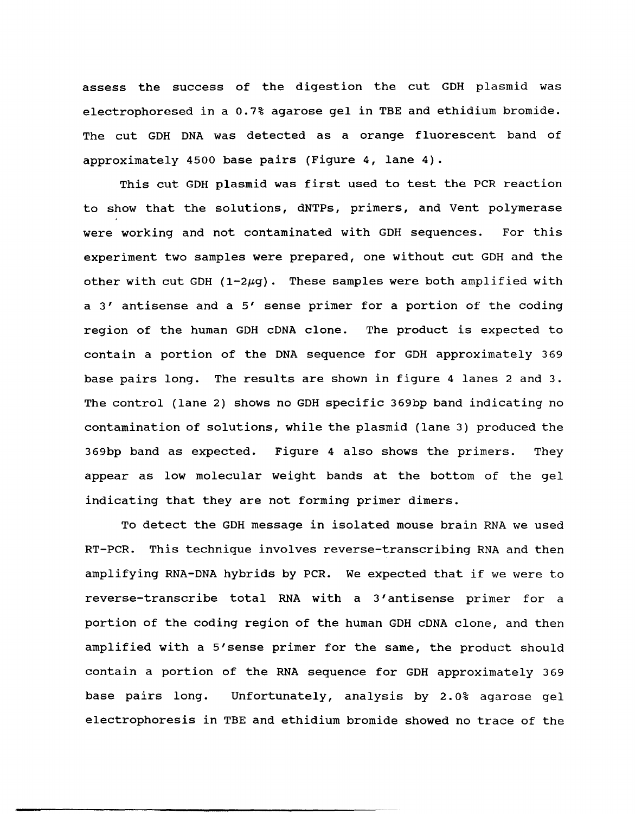assess the success of the digestion the cut GDH plasmid was electrophoresed in a 0.7% agarose gel in TBE and ethidium bromide. The cut GDH DNA was detected as a orange fluorescent band of approximately 4500 base pairs (Figure 4, lane 4).

This cut GDH plasmid was first used to test the PCR reaction to show that the solutions, dNTPs, primers, and Vent polymerase were working and not contaminated with GDH sequences. For this experiment two samples were prepared, one without cut GDH and the other with cut GDH ( $1-2\mu$ g). These samples were both amplified with a 3' antisense and a 5' sense primer for a portion of the coding region of the human GDH cDNA clone. The product is expected to contain a portion of the DNA sequence for GDH approximately 369 base pairs long. The results are shown in figure 4 lanes 2 and 3. The control (lane 2) shows no GDH specific 369bp band indicating no contamination of solutions, while the plasmid (lane 3) produced the 369bp band as expected. Figure 4 also shows the primers. They appear as low molecular weight bands at the bottom of the gel indicating that they are not forming primer dimers.

To detect the GDH message in isolated mouse brain RNA we used RT-PCR. This technique involves reverse-transcribing RNA and then amplifying RNA-DNA hybrids by PCR. We expected that if we were to reverse-transcribe total RNA with a 3' antisense primer for a portion of the coding region of the human GDH cDNA clone, and then amplified with a 5'sense primer for the same, the product should contain a portion of the RNA sequence for GDH approximately 369 base pairs long. Unfortunately, analysis by 2.0% agarose gel electrophoresis in TBE and ethidium bromide showed no trace of the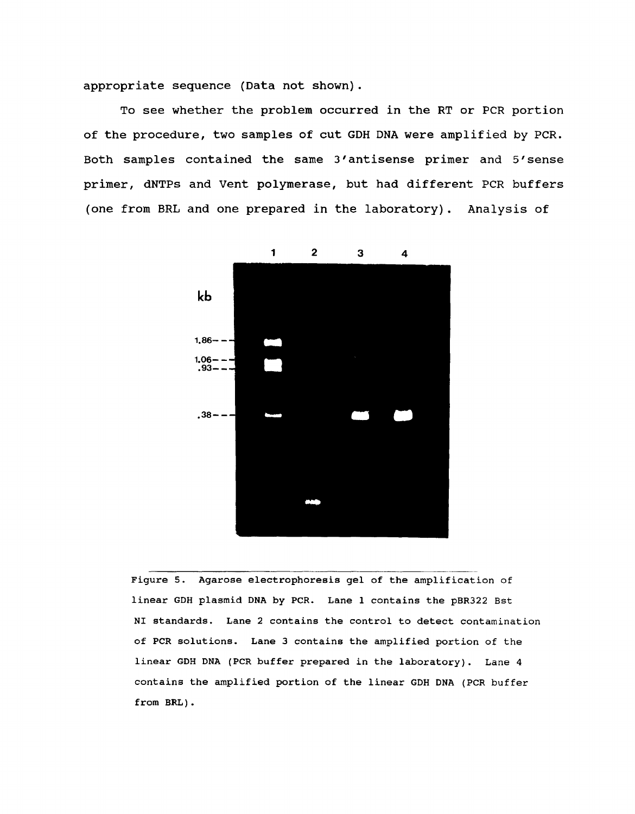appropriate sequence (Data not shown).

To see whether the problem occurred in the RT or PCR portion of the procedure, two samples of cut GDH DNA were amplified by peR. Both samples contained the same 3' antisense primer and 5' sense primer, dNTPs and Vent polymerase, but had different PCR buffers (one from BRL and one prepared in the laboratory). Analysis of



Figure S. Agarose electrophoresis gel of the amplification of linear GDH plasmid DNA by PCR. Lane 1 contains the pBR322 Bst NI standards. Lane 2 contains the control to detect contamination of peR solutions. Lane 3 contains the amplified portion of the linear GDH DNA (PCR buffer prepared in the laboratory). Lane 4 contains the amplified portion of the linear GDH DNA (PCR buffer from BRL).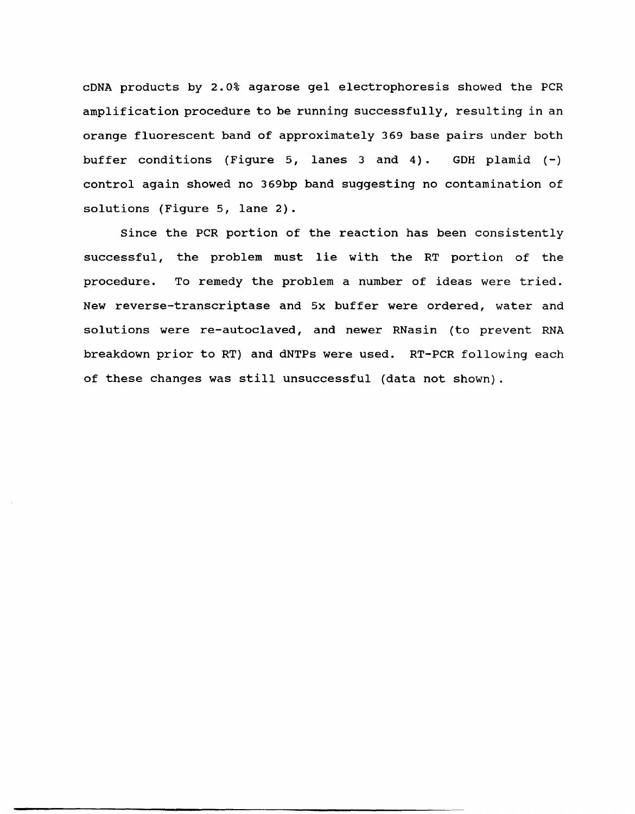cDNA products by 2.0% agarose gel electrophoresis showed the PCR amplification procedure to be running successfully, resulting in an orange fluorescent band of approximately 369 base pairs under both buffer conditions (Figure 5, lanes 3 and 4). GDH plamid  $(-)$ control again showed no 369bp band suggesting no contamination of solutions (Figure 5, lane 2).

Since the PCR portion of the reaction has been consistently successful, the problem must lie with the RT portion of the procedure. To remedy the problem a number of ideas were tried. New reverse-transcriptase and 5x buffer were ordered, water and solutions were re-autoclaved, and newer RNasin (to prevent RNA breakdown prior to RT) and dNTPs were used. RT-PCR following each of these changes was still unsuccessful (data not shown).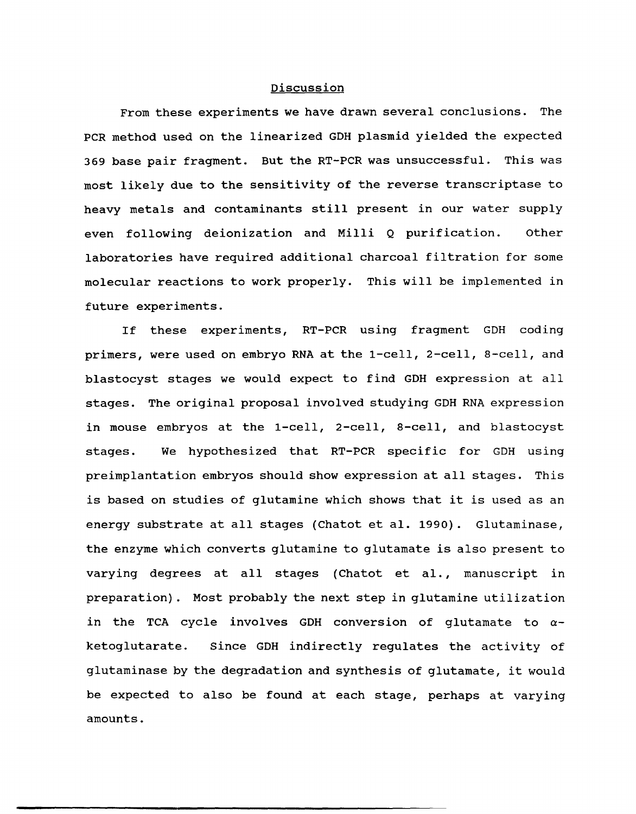## Discussion

From these experiments we have drawn several conclusions. The PCR method used on the linearized GDH plasmid yielded the expected 369 base pair fragment. But the RT-PCR was unsuccessful. This was most likely due to the sensitivity of the reverse transcriptase to heavy metals and contaminants still present in our water supply even following deionization and Milli Q purification. other laboratories have required additional charcoal filtration for some molecular reactions to work properly. This will be implemented in future experiments.

If these experiments, RT-PCR using fragment GDH coding primers, were used on embryo RNA at the 1-cell, 2-cell, 8-cell, and blastocyst stages we would expect to find GDH expression at all stages. The original proposal involved studying GDH RNA expression in mouse embryos at the 1-cell, 2-cell, 8-cell, and blastocyst stages. We hypothesized that RT-PCR specific for GDH using preimplantation embryos should show expression at all stages. This is based on studies of glutamine which shows that it is used as an energy substrate at all stages (Chatot et al. 1990). Glutaminase, the enzyme which converts glutamine to glutamate is also present to varying degrees at all stages (Chatot et al., manuscript in preparation). Most probably the next step in glutamine utilization in the TCA cycle involves GDH conversion of glutamate to  $\alpha$ ketoglutarate. Since GDH indirectly regulates the activity of glutaminase by the degradation and synthesis of glutamate, it would be expected to also be found at each stage, perhaps at varying amounts.